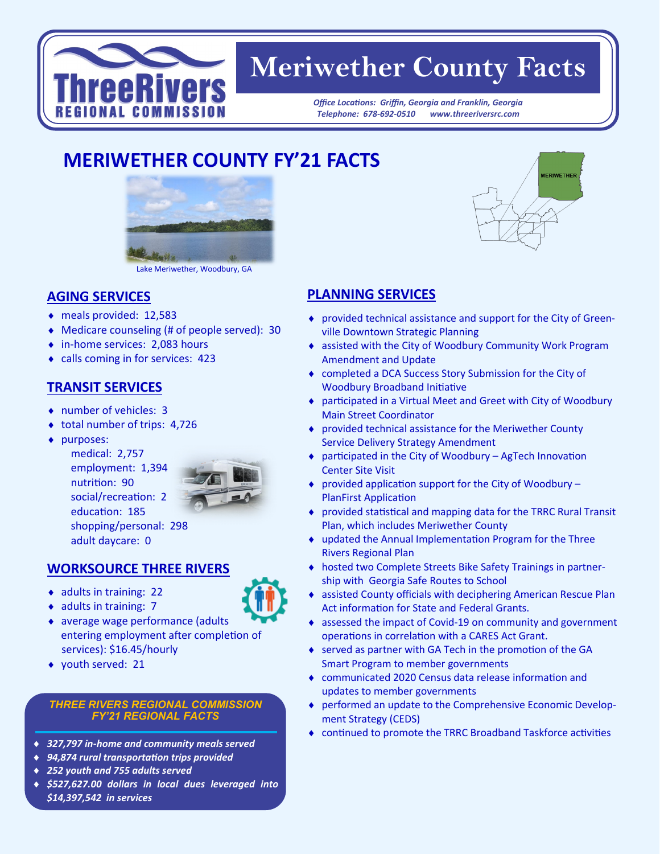

# **Meriwether County Facts**

*Office Locations: Griffin, Georgia and Franklin, Georgia Telephone: 678-692-0510 www.threeriversrc.com*

## **MERIWETHER COUNTY FY'21 FACTS**



Lake Meriwether, Woodbury, GA

#### **AGING SERVICES**

- meals provided: 12,583
- Medicare counseling (# of people served): 30
- in-home services: 2,083 hours
- calls coming in for services: 423

### **TRANSIT SERVICES**

- number of vehicles: 3
- ◆ total number of trips: 4,726
- purposes:

medical: 2,757 employment: 1,394 nutrition: 90 social/recreation: 2 education: 185 adult daycare: 0



shopping/personal: 298

#### **WORKSOURCE THREE RIVERS**

- $\bullet$  adults in training: 22
- $\bullet$  adults in training: 7
- average wage performance (adults entering employment after completion of services): \$16.45/hourly
- youth served: 21

#### *THREE RIVERS REGIONAL COMMISSION FY'21 REGIONAL FACTS*

- *327,797 in-home and community meals served*
- *94,874 rural transportation trips provided*
- *252 youth and 755 adults served*
- *\$527,627.00 dollars in local dues leveraged into \$14,397,542 in services*



- provided technical assistance and support for the City of Greenville Downtown Strategic Planning
- assisted with the City of Woodbury Community Work Program Amendment and Update
- completed a DCA Success Story Submission for the City of Woodbury Broadband Initiative
- ◆ participated in a Virtual Meet and Greet with City of Woodbury Main Street Coordinator
- provided technical assistance for the Meriwether County Service Delivery Strategy Amendment
- participated in the City of Woodbury AgTech Innovation Center Site Visit
- $\bullet$  provided application support for the City of Woodbury  $-$ PlanFirst Application
- provided statistical and mapping data for the TRRC Rural Transit Plan, which includes Meriwether County
- updated the Annual Implementation Program for the Three Rivers Regional Plan
- hosted two Complete Streets Bike Safety Trainings in partnership with Georgia Safe Routes to School
- assisted County officials with deciphering American Rescue Plan Act information for State and Federal Grants.
- assessed the impact of Covid-19 on community and government operations in correlation with a CARES Act Grant.
- ◆ served as partner with GA Tech in the promotion of the GA Smart Program to member governments
- communicated 2020 Census data release information and updates to member governments
- performed an update to the Comprehensive Economic Development Strategy (CEDS)
- continued to promote the TRRC Broadband Taskforce activities